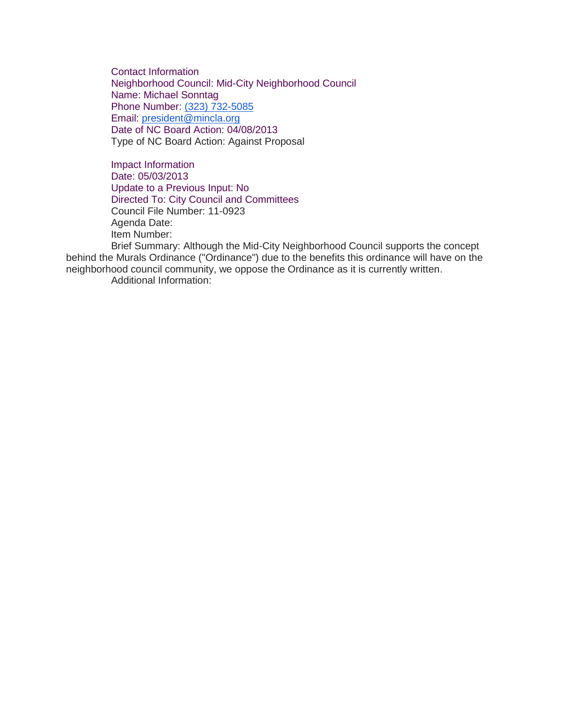Contact Information Neighborhood Council: Mid-City Neighborhood Council Name: Michael Sonntag Phone Number: [\(323\) 732-5085](tel:%28323%29%20732-5085) Email: [president@mincla.org](mailto:president@mincla.org) Date of NC Board Action: 04/08/2013 Type of NC Board Action: Against Proposal

Impact Information Date: 05/03/2013 Update to a Previous Input: No Directed To: City Council and Committees Council File Number: 11-0923 Agenda Date: Item Number:

Brief Summary: Although the Mid-City Neighborhood Council supports the concept behind the Murals Ordinance ("Ordinance") due to the benefits this ordinance will have on the neighborhood council community, we oppose the Ordinance as it is currently written. Additional Information: